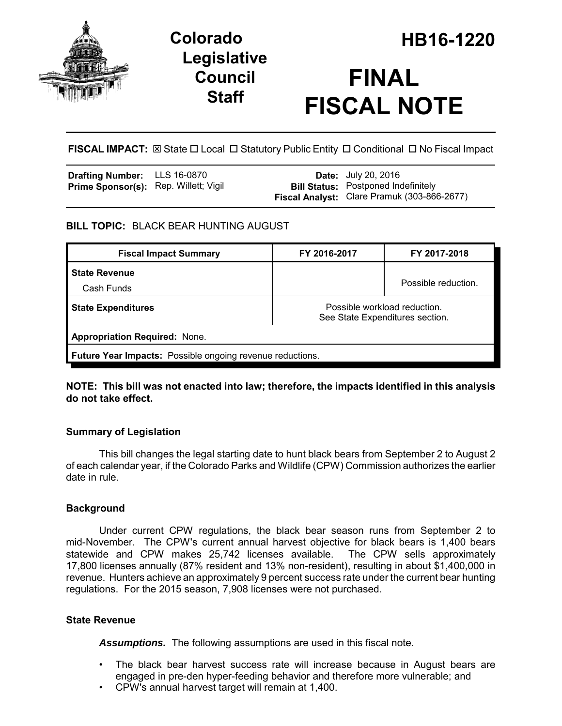

## **Legislative Council Staff**

# **FINAL FISCAL NOTE**

**FISCAL IMPACT:**  $\boxtimes$  State  $\Box$  Local  $\Box$  Statutory Public Entity  $\Box$  Conditional  $\Box$  No Fiscal Impact

| <b>Drafting Number:</b> LLS 16-0870          |  | <b>Date:</b> July 20, 2016                                                                |
|----------------------------------------------|--|-------------------------------------------------------------------------------------------|
| <b>Prime Sponsor(s):</b> Rep. Willett; Vigil |  | <b>Bill Status:</b> Postponed Indefinitely<br>Fiscal Analyst: Clare Pramuk (303-866-2677) |
|                                              |  |                                                                                           |

## **BILL TOPIC:** BLACK BEAR HUNTING AUGUST

| <b>Fiscal Impact Summary</b>                                     | FY 2016-2017                                                    | FY 2017-2018        |  |  |  |
|------------------------------------------------------------------|-----------------------------------------------------------------|---------------------|--|--|--|
| <b>State Revenue</b><br>Cash Funds                               |                                                                 | Possible reduction. |  |  |  |
| <b>State Expenditures</b>                                        | Possible workload reduction.<br>See State Expenditures section. |                     |  |  |  |
| <b>Appropriation Required: None.</b>                             |                                                                 |                     |  |  |  |
| <b>Future Year Impacts:</b> Possible ongoing revenue reductions. |                                                                 |                     |  |  |  |

**NOTE: This bill was not enacted into law; therefore, the impacts identified in this analysis do not take effect.**

## **Summary of Legislation**

This bill changes the legal starting date to hunt black bears from September 2 to August 2 of each calendar year, if the Colorado Parks and Wildlife (CPW) Commission authorizes the earlier date in rule.

## **Background**

Under current CPW regulations, the black bear season runs from September 2 to mid-November. The CPW's current annual harvest objective for black bears is 1,400 bears statewide and CPW makes 25,742 licenses available. The CPW sells approximately 17,800 licenses annually (87% resident and 13% non-resident), resulting in about \$1,400,000 in revenue. Hunters achieve an approximately 9 percent success rate under the current bear hunting regulations. For the 2015 season, 7,908 licenses were not purchased.

## **State Revenue**

*Assumptions.* The following assumptions are used in this fiscal note.

- The black bear harvest success rate will increase because in August bears are engaged in pre-den hyper-feeding behavior and therefore more vulnerable; and
- CPW's annual harvest target will remain at 1,400.